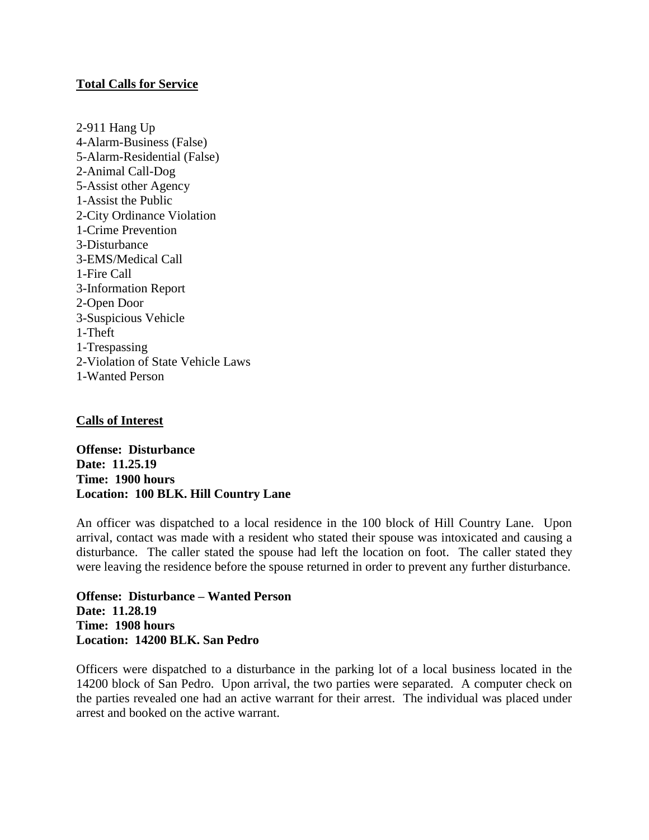# **Total Calls for Service**

2-911 Hang Up 4-Alarm-Business (False) 5-Alarm-Residential (False) 2-Animal Call-Dog 5-Assist other Agency 1-Assist the Public 2-City Ordinance Violation 1-Crime Prevention 3-Disturbance 3-EMS/Medical Call 1-Fire Call 3-Information Report 2-Open Door 3-Suspicious Vehicle 1-Theft 1-Trespassing 2-Violation of State Vehicle Laws 1-Wanted Person

# **Calls of Interest**

**Offense: Disturbance Date: 11.25.19 Time: 1900 hours Location: 100 BLK. Hill Country Lane**

An officer was dispatched to a local residence in the 100 block of Hill Country Lane. Upon arrival, contact was made with a resident who stated their spouse was intoxicated and causing a disturbance. The caller stated the spouse had left the location on foot. The caller stated they were leaving the residence before the spouse returned in order to prevent any further disturbance.

**Offense: Disturbance – Wanted Person Date: 11.28.19 Time: 1908 hours Location: 14200 BLK. San Pedro**

Officers were dispatched to a disturbance in the parking lot of a local business located in the 14200 block of San Pedro. Upon arrival, the two parties were separated. A computer check on the parties revealed one had an active warrant for their arrest. The individual was placed under arrest and booked on the active warrant.